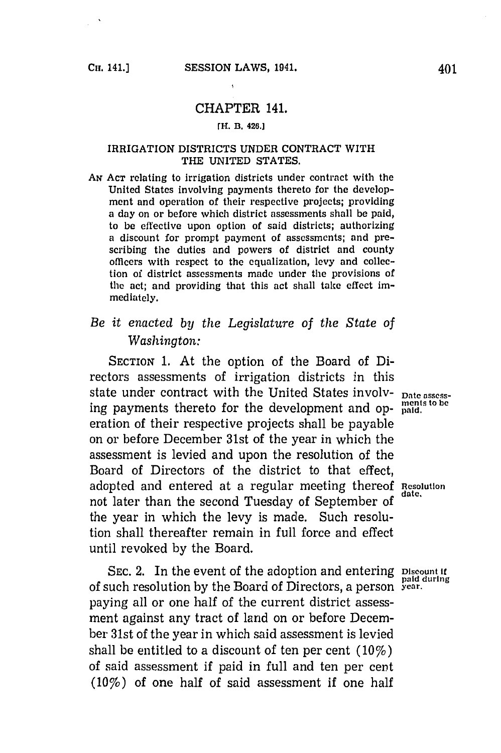## CHAPTER 141.

### **mn. B. 426.]**

#### IRRIGATION DISTRICTS **UNDER CONTRACT** WITH THE **UNITED STATES.**

**AN ACT** relating to irrigation districts under contract with the United States involving payments thereto for the development and operation of their respective projects; providing a day on or before which district assessments shall be paid, to be effective upon option of said districts; authorizing a discount for prompt payment of assessments; and prescribing the duties and powers of district and county officers with respect to the equalization, levy and collection of district assessments made under the provisions of the act; and providing that this act shall take effect immediately.

# *Be it enacted by the Legislature of the State of Washington:*

SECTION **1.** At the option of the Board of Directors assessments of irrigation districts in this state under contract with the United States involv- **Date** assessing payments thereto for the development and op- **paid.** eration of their respective projects shall be payable on or before December 31st of the year in which the assessment is levied and upon the resolution of the Board of Directors of the district to that effect, adopted and entered at a regular meeting thereof **Rlesolution** not later than the second Tuesday of September of the year in which the levy is made. Such resolution shall thereafter remain in full force and effect until revoked **by** the Board.

**SEC.** 2. In the event of the adoption and entering **Discount if** paid during of such resolution **by** the Board of Directors, a person year. paying all or one half of the current district assessment against any tract of land on or before December 31st of the year in which said assessment is levied shall be entitled to a discount of ten per cent (10%) of said assessment if paid in full and ten per cent (10%) of one half of said assessment if one half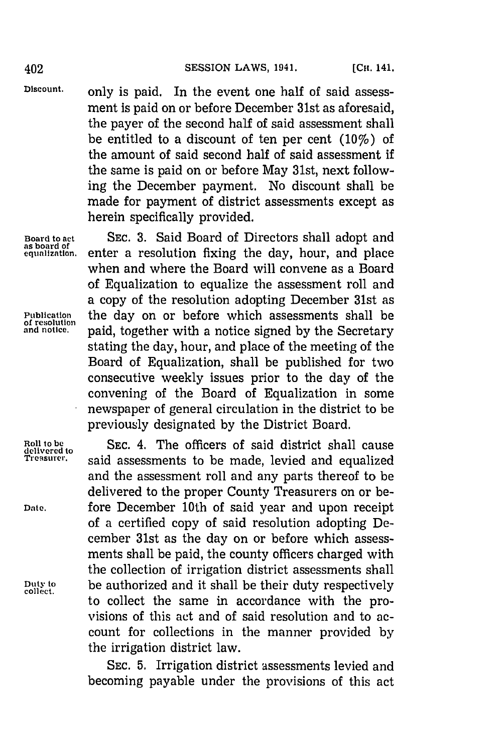**Discount,** only is paid. In the event one half of said assessment is paid on or before December 31st as aforesaid, the payer of the second half of said assessment shall be entitled to a discount of ten per cent (10%) of the amount of said second half of said assessment if the same is paid on or before May 31st, next following the December payment. No discount shall be made for payment of district assessments except as herein specifically provided.

**Board to act SEC. 3.** Said Board of Directors shall adopt and **as board of** enter a resolution fixing the day, hour, and place when and where the Board will convene as a Board of Equalization to equalize the assessment roll and a copy of the resolution adopting December 31st as **Publication the day on or before which assessments shall be of resolution** and notice. **paid, together with a notice signed by the Secretary and notice,** paid, together with a notice signed **by** the Secretary stating the day, hour, and place of the meeting of the Board of Equalization, shall be published for two consecutive weekly issues prior to the day of the convening of the Board of Equalization in some newspaper of general circulation in the district to be previously designated **by** the District Board.

**Roll to be SEC.** 4. The officers of said district shall cause **delivered to** said assessments to be made, levied and equalized and the assessment roll and any parts thereof to be delivered to the proper County Treasurers on or be-**Date,** fore December 10th of said year and upon receipt of a certified copy of said resolution adopting December 31st as the day on or before which assessments shall be paid, the county officers charged with the collection of irrigation district assessments shall **Duty to** be authorized and it shall be their duty respectively **collect.** to collect the same in accordance with the provisions of this act and of said resolution and to account for collections in the manner provided **by** the irrigation district law.

> **SEC. 5.** Irrigation district assessments levied and becoming payable under the provisions of this act